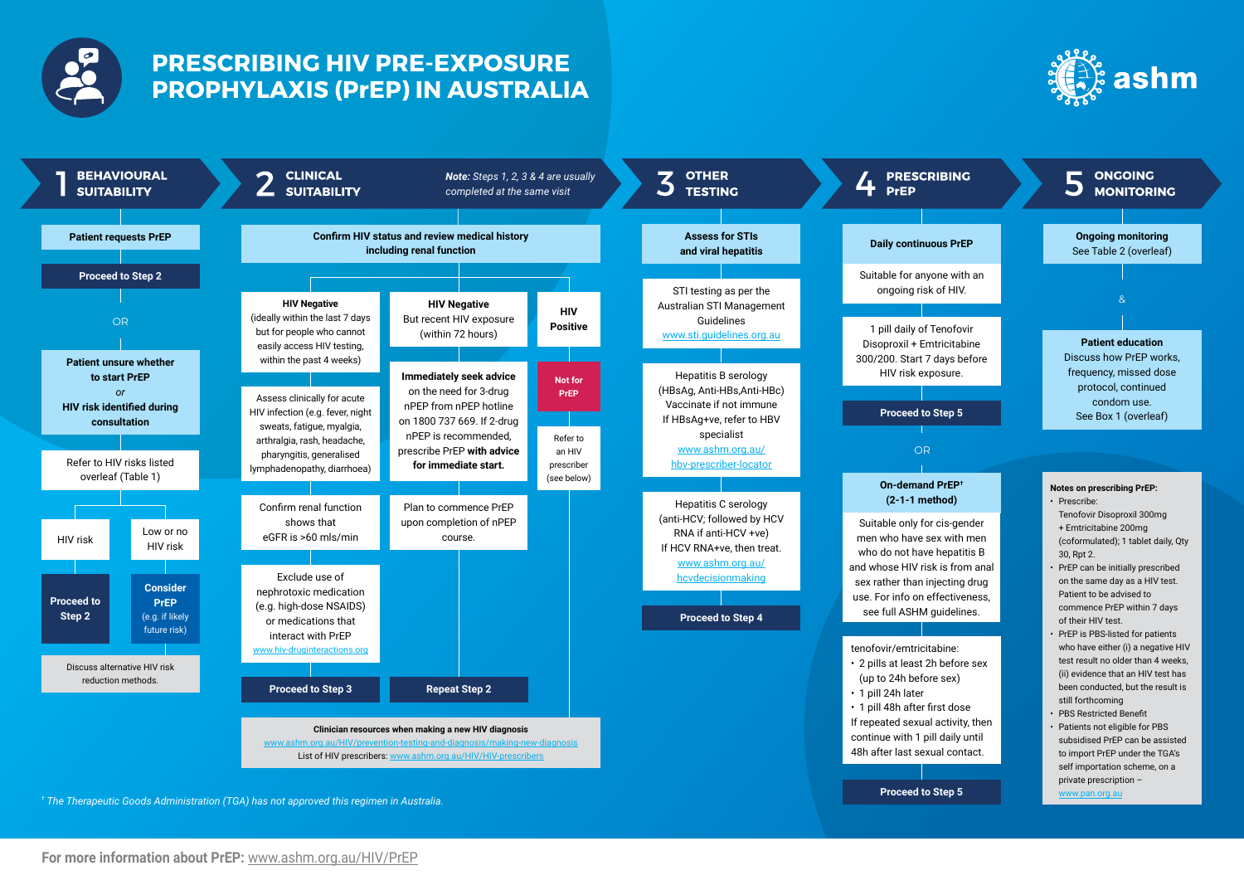

# **PRESCRIBING HIV PRE-EXPOSURE PROPHYLAXIS (PrEP) IN AUSTRALIA**